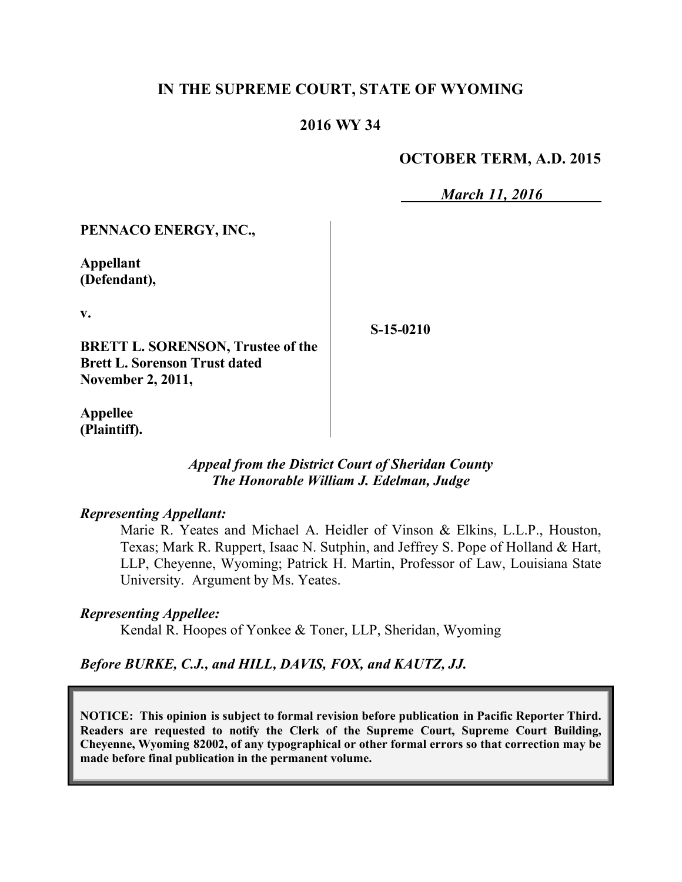## **IN THE SUPREME COURT, STATE OF WYOMING**

## **2016 WY 34**

### **OCTOBER TERM, A.D. 2015**

*March 11, 2016*

### **PENNACO ENERGY, INC.,**

**Appellant (Defendant),**

**v.**

**BRETT L. SORENSON, Trustee of the Brett L. Sorenson Trust dated November 2, 2011,**

**S-15-0210**

**Appellee (Plaintiff).**

#### *Appeal from the District Court of Sheridan County The Honorable William J. Edelman, Judge*

#### *Representing Appellant:*

Marie R. Yeates and Michael A. Heidler of Vinson & Elkins, L.L.P., Houston, Texas; Mark R. Ruppert, Isaac N. Sutphin, and Jeffrey S. Pope of Holland & Hart, LLP, Cheyenne, Wyoming; Patrick H. Martin, Professor of Law, Louisiana State University. Argument by Ms. Yeates.

#### *Representing Appellee:*

Kendal R. Hoopes of Yonkee & Toner, LLP, Sheridan, Wyoming

# *Before BURKE, C.J., and HILL, DAVIS, FOX, and KAUTZ, JJ.*

**NOTICE: This opinion is subject to formal revision before publication in Pacific Reporter Third. Readers are requested to notify the Clerk of the Supreme Court, Supreme Court Building, Cheyenne, Wyoming 82002, of any typographical or other formal errors so that correction may be made before final publication in the permanent volume.**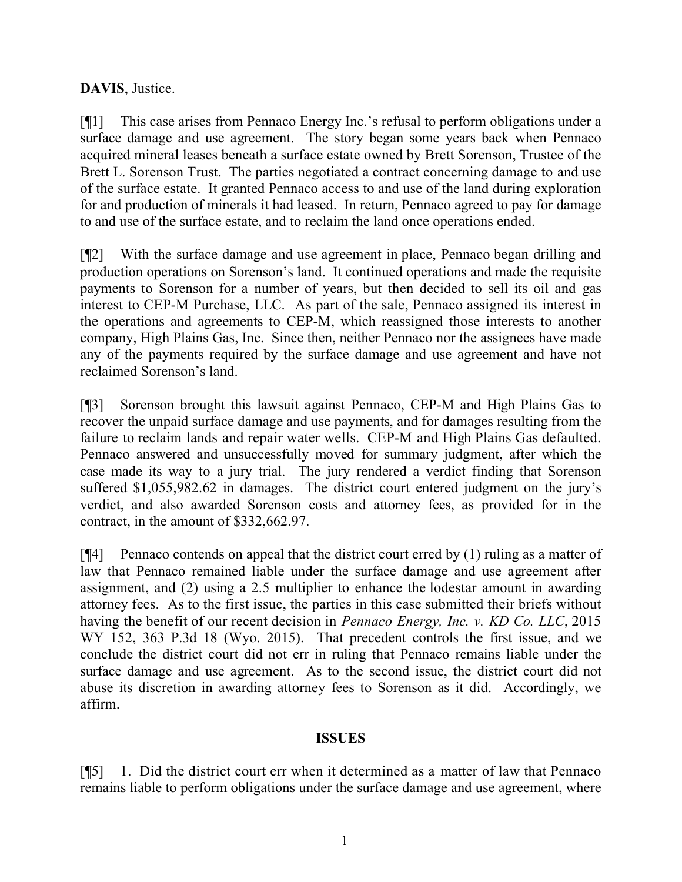## **DAVIS**, Justice.

[¶1] This case arises from Pennaco Energy Inc.'s refusal to perform obligations under a surface damage and use agreement. The story began some years back when Pennaco acquired mineral leases beneath a surface estate owned by Brett Sorenson, Trustee of the Brett L. Sorenson Trust. The parties negotiated a contract concerning damage to and use of the surface estate. It granted Pennaco access to and use of the land during exploration for and production of minerals it had leased. In return, Pennaco agreed to pay for damage to and use of the surface estate, and to reclaim the land once operations ended.

[¶2] With the surface damage and use agreement in place, Pennaco began drilling and production operations on Sorenson's land. It continued operations and made the requisite payments to Sorenson for a number of years, but then decided to sell its oil and gas interest to CEP-M Purchase, LLC. As part of the sale, Pennaco assigned its interest in the operations and agreements to CEP-M, which reassigned those interests to another company, High Plains Gas, Inc. Since then, neither Pennaco nor the assignees have made any of the payments required by the surface damage and use agreement and have not reclaimed Sorenson's land.

[¶3] Sorenson brought this lawsuit against Pennaco, CEP-M and High Plains Gas to recover the unpaid surface damage and use payments, and for damages resulting from the failure to reclaim lands and repair water wells. CEP-M and High Plains Gas defaulted. Pennaco answered and unsuccessfully moved for summary judgment, after which the case made its way to a jury trial. The jury rendered a verdict finding that Sorenson suffered \$1,055,982.62 in damages. The district court entered judgment on the jury's verdict, and also awarded Sorenson costs and attorney fees, as provided for in the contract, in the amount of \$332,662.97.

[¶4] Pennaco contends on appeal that the district court erred by (1) ruling as a matter of law that Pennaco remained liable under the surface damage and use agreement after assignment, and (2) using a 2.5 multiplier to enhance the lodestar amount in awarding attorney fees. As to the first issue, the parties in this case submitted their briefs without having the benefit of our recent decision in *Pennaco Energy, Inc. v. KD Co. LLC*, 2015 WY 152, 363 P.3d 18 (Wyo. 2015). That precedent controls the first issue, and we conclude the district court did not err in ruling that Pennaco remains liable under the surface damage and use agreement. As to the second issue, the district court did not abuse its discretion in awarding attorney fees to Sorenson as it did. Accordingly, we affirm.

## **ISSUES**

[¶5] 1. Did the district court err when it determined as a matter of law that Pennaco remains liable to perform obligations under the surface damage and use agreement, where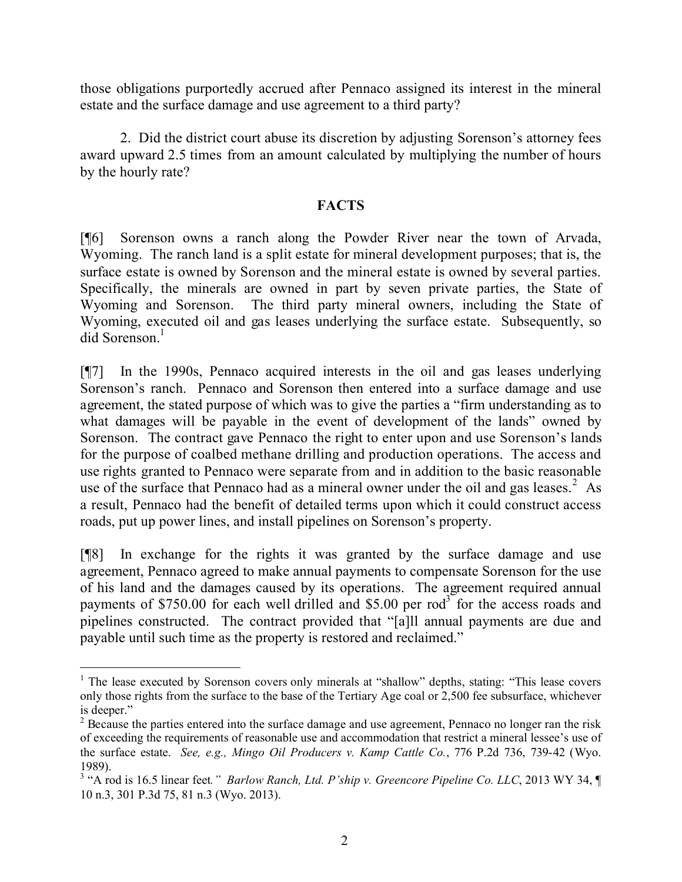those obligations purportedly accrued after Pennaco assigned its interest in the mineral estate and the surface damage and use agreement to a third party?

2. Did the district court abuse its discretion by adjusting Sorenson's attorney fees award upward 2.5 times from an amount calculated by multiplying the number of hours by the hourly rate?

## **FACTS**

[¶6] Sorenson owns a ranch along the Powder River near the town of Arvada, Wyoming. The ranch land is a split estate for mineral development purposes; that is, the surface estate is owned by Sorenson and the mineral estate is owned by several parties. Specifically, the minerals are owned in part by seven private parties, the State of Wyoming and Sorenson. The third party mineral owners, including the State of Wyoming, executed oil and gas leases underlying the surface estate. Subsequently, so did Sorenson.<sup>1</sup>

[¶7] In the 1990s, Pennaco acquired interests in the oil and gas leases underlying Sorenson's ranch. Pennaco and Sorenson then entered into a surface damage and use agreement, the stated purpose of which was to give the parties a "firm understanding as to what damages will be payable in the event of development of the lands" owned by Sorenson. The contract gave Pennaco the right to enter upon and use Sorenson's lands for the purpose of coalbed methane drilling and production operations. The access and use rights granted to Pennaco were separate from and in addition to the basic reasonable use of the surface that Pennaco had as a mineral owner under the oil and gas leases.<sup>2</sup> As a result, Pennaco had the benefit of detailed terms upon which it could construct access roads, put up power lines, and install pipelines on Sorenson's property.

[¶8] In exchange for the rights it was granted by the surface damage and use agreement, Pennaco agreed to make annual payments to compensate Sorenson for the use of his land and the damages caused by its operations. The agreement required annual payments of \$750.00 for each well drilled and \$5.00 per  $rod^3$  for the access roads and pipelines constructed. The contract provided that "[a]ll annual payments are due and payable until such time as the property is restored and reclaimed."

 $\overline{a}$ 

<sup>&</sup>lt;sup>1</sup> The lease executed by Sorenson covers only minerals at "shallow" depths, stating: "This lease covers" only those rights from the surface to the base of the Tertiary Age coal or 2,500 fee subsurface, whichever is deeper."

<sup>&</sup>lt;sup>2</sup> Because the parties entered into the surface damage and use agreement, Pennaco no longer ran the risk of exceeding the requirements of reasonable use and accommodation that restrict a mineral lessee's use of the surface estate. *See, e.g., Mingo Oil Producers v. Kamp Cattle Co.*, 776 P.2d 736, 739-42 (Wyo. 1989).

<sup>&</sup>lt;sup>3</sup> "A rod is 16.5 linear feet." *Barlow Ranch, Ltd. P'ship v. Greencore Pipeline Co. LLC*, 2013 WY 34, ¶ 10 n.3, 301 P.3d 75, 81 n.3 (Wyo. 2013).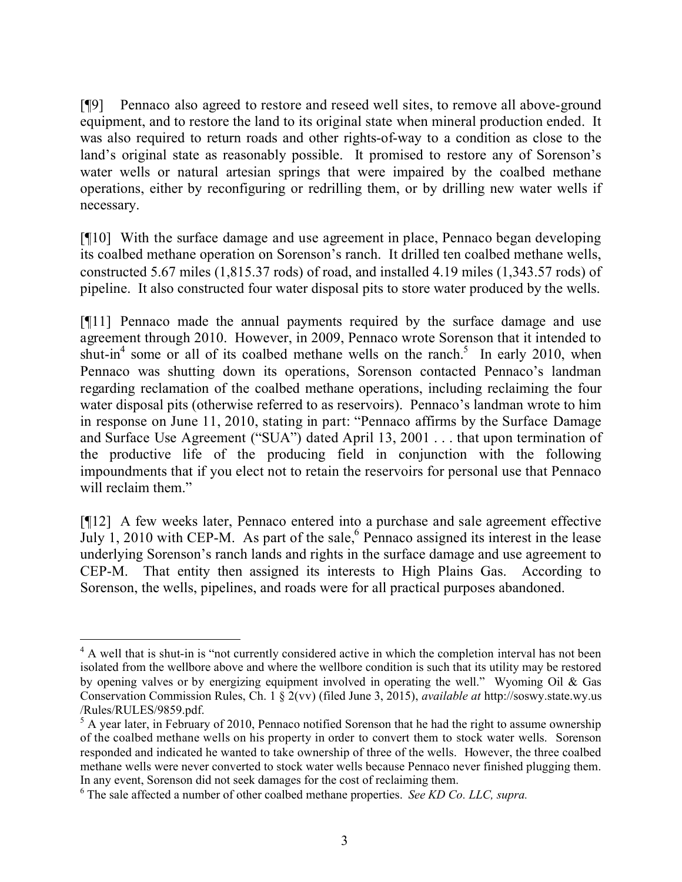[¶9] Pennaco also agreed to restore and reseed well sites, to remove all above-ground equipment, and to restore the land to its original state when mineral production ended. It was also required to return roads and other rights-of-way to a condition as close to the land's original state as reasonably possible. It promised to restore any of Sorenson's water wells or natural artesian springs that were impaired by the coalbed methane operations, either by reconfiguring or redrilling them, or by drilling new water wells if necessary.

[¶10] With the surface damage and use agreement in place, Pennaco began developing its coalbed methane operation on Sorenson's ranch. It drilled ten coalbed methane wells, constructed 5.67 miles (1,815.37 rods) of road, and installed 4.19 miles (1,343.57 rods) of pipeline. It also constructed four water disposal pits to store water produced by the wells.

[¶11] Pennaco made the annual payments required by the surface damage and use agreement through 2010. However, in 2009, Pennaco wrote Sorenson that it intended to shut-in<sup>4</sup> some or all of its coalbed methane wells on the ranch.<sup>5</sup> In early 2010, when Pennaco was shutting down its operations, Sorenson contacted Pennaco's landman regarding reclamation of the coalbed methane operations, including reclaiming the four water disposal pits (otherwise referred to as reservoirs). Pennaco's landman wrote to him in response on June 11, 2010, stating in part: "Pennaco affirms by the Surface Damage and Surface Use Agreement ("SUA") dated April 13, 2001 . . . that upon termination of the productive life of the producing field in conjunction with the following impoundments that if you elect not to retain the reservoirs for personal use that Pennaco will reclaim them."

[¶12] A few weeks later, Pennaco entered into a purchase and sale agreement effective July 1, 2010 with CEP-M. As part of the sale,  $6$  Pennaco assigned its interest in the lease underlying Sorenson's ranch lands and rights in the surface damage and use agreement to CEP-M. That entity then assigned its interests to High Plains Gas. According to Sorenson, the wells, pipelines, and roads were for all practical purposes abandoned.

<sup>&</sup>lt;sup>4</sup> A well that is shut-in is "not currently considered active in which the completion interval has not been isolated from the wellbore above and where the wellbore condition is such that its utility may be restored by opening valves or by energizing equipment involved in operating the well." Wyoming Oil & Gas Conservation Commission Rules, Ch. 1 § 2(vv) (filed June 3, 2015), *available at* http://soswy.state.wy.us /Rules/RULES/9859.pdf.

<sup>&</sup>lt;sup>5</sup> A year later, in February of 2010, Pennaco notified Sorenson that he had the right to assume ownership of the coalbed methane wells on his property in order to convert them to stock water wells. Sorenson responded and indicated he wanted to take ownership of three of the wells. However, the three coalbed methane wells were never converted to stock water wells because Pennaco never finished plugging them. In any event, Sorenson did not seek damages for the cost of reclaiming them.

<sup>6</sup> The sale affected a number of other coalbed methane properties. *See KD Co. LLC, supra.*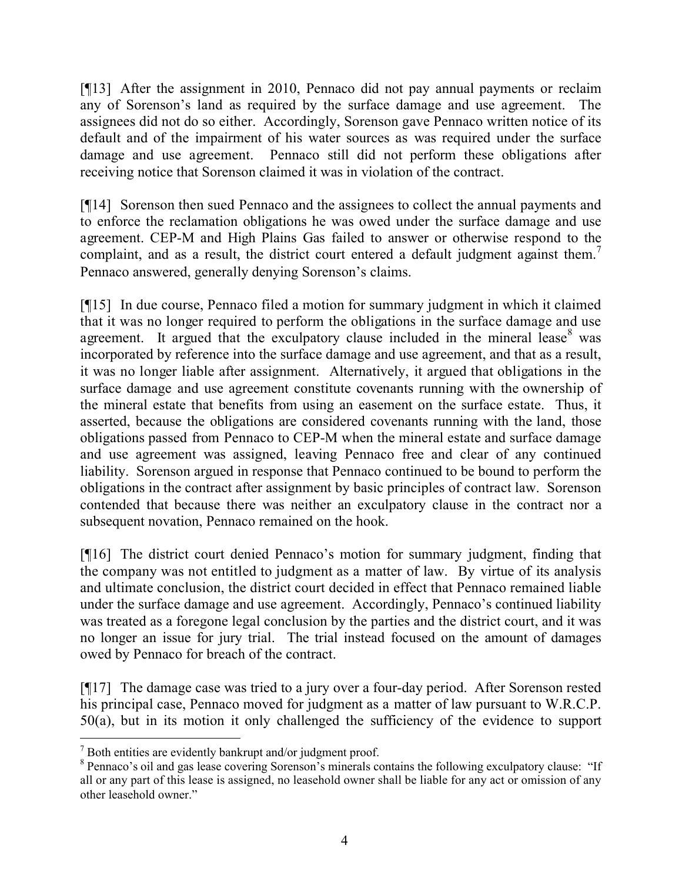[¶13] After the assignment in 2010, Pennaco did not pay annual payments or reclaim any of Sorenson's land as required by the surface damage and use agreement. The assignees did not do so either. Accordingly, Sorenson gave Pennaco written notice of its default and of the impairment of his water sources as was required under the surface damage and use agreement. Pennaco still did not perform these obligations after receiving notice that Sorenson claimed it was in violation of the contract.

[¶14] Sorenson then sued Pennaco and the assignees to collect the annual payments and to enforce the reclamation obligations he was owed under the surface damage and use agreement. CEP-M and High Plains Gas failed to answer or otherwise respond to the complaint, and as a result, the district court entered a default judgment against them.<sup>7</sup> Pennaco answered, generally denying Sorenson's claims.

[¶15] In due course, Pennaco filed a motion for summary judgment in which it claimed that it was no longer required to perform the obligations in the surface damage and use agreement. It argued that the exculpatory clause included in the mineral lease $8$  was incorporated by reference into the surface damage and use agreement, and that as a result, it was no longer liable after assignment. Alternatively, it argued that obligations in the surface damage and use agreement constitute covenants running with the ownership of the mineral estate that benefits from using an easement on the surface estate. Thus, it asserted, because the obligations are considered covenants running with the land, those obligations passed from Pennaco to CEP-M when the mineral estate and surface damage and use agreement was assigned, leaving Pennaco free and clear of any continued liability. Sorenson argued in response that Pennaco continued to be bound to perform the obligations in the contract after assignment by basic principles of contract law. Sorenson contended that because there was neither an exculpatory clause in the contract nor a subsequent novation, Pennaco remained on the hook.

[¶16] The district court denied Pennaco's motion for summary judgment, finding that the company was not entitled to judgment as a matter of law. By virtue of its analysis and ultimate conclusion, the district court decided in effect that Pennaco remained liable under the surface damage and use agreement. Accordingly, Pennaco's continued liability was treated as a foregone legal conclusion by the parties and the district court, and it was no longer an issue for jury trial. The trial instead focused on the amount of damages owed by Pennaco for breach of the contract.

[¶17] The damage case was tried to a jury over a four-day period. After Sorenson rested his principal case, Pennaco moved for judgment as a matter of law pursuant to W.R.C.P. 50(a), but in its motion it only challenged the sufficiency of the evidence to support

 $\overline{a}$ 

 $<sup>7</sup>$  Both entities are evidently bankrupt and/or judgment proof.</sup>

<sup>&</sup>lt;sup>8</sup> Pennaco's oil and gas lease covering Sorenson's minerals contains the following exculpatory clause: "If all or any part of this lease is assigned, no leasehold owner shall be liable for any act or omission of any other leasehold owner."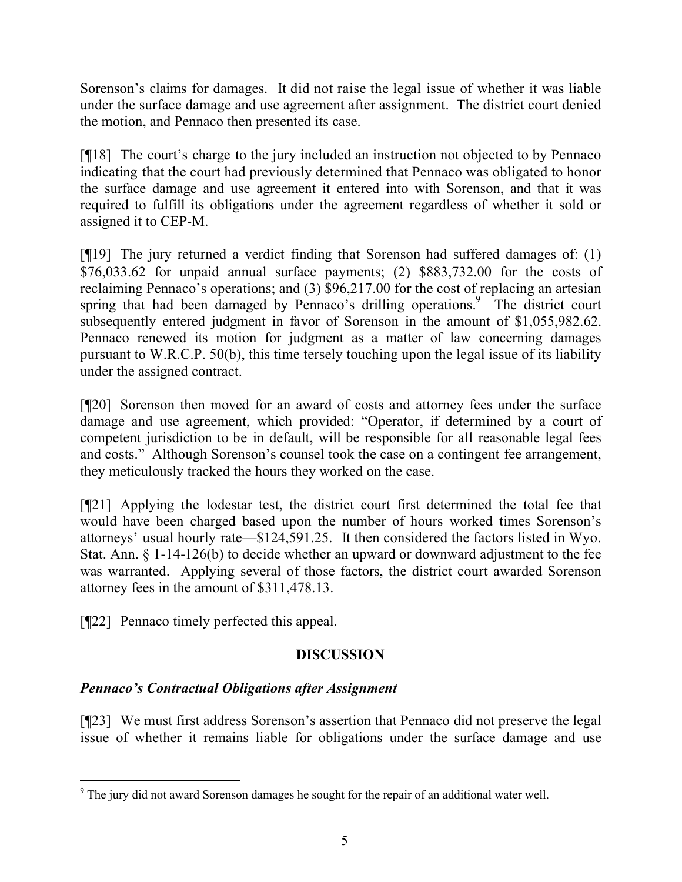Sorenson's claims for damages. It did not raise the legal issue of whether it was liable under the surface damage and use agreement after assignment. The district court denied the motion, and Pennaco then presented its case.

[¶18] The court's charge to the jury included an instruction not objected to by Pennaco indicating that the court had previously determined that Pennaco was obligated to honor the surface damage and use agreement it entered into with Sorenson, and that it was required to fulfill its obligations under the agreement regardless of whether it sold or assigned it to CEP-M.

[¶19] The jury returned a verdict finding that Sorenson had suffered damages of: (1) \$76,033.62 for unpaid annual surface payments; (2) \$883,732.00 for the costs of reclaiming Pennaco's operations; and (3) \$96,217.00 for the cost of replacing an artesian spring that had been damaged by Pennaco's drilling operations.<sup>9</sup> The district court subsequently entered judgment in favor of Sorenson in the amount of \$1,055,982.62. Pennaco renewed its motion for judgment as a matter of law concerning damages pursuant to W.R.C.P. 50(b), this time tersely touching upon the legal issue of its liability under the assigned contract.

[¶20] Sorenson then moved for an award of costs and attorney fees under the surface damage and use agreement, which provided: "Operator, if determined by a court of competent jurisdiction to be in default, will be responsible for all reasonable legal fees and costs." Although Sorenson's counsel took the case on a contingent fee arrangement, they meticulously tracked the hours they worked on the case.

[¶21] Applying the lodestar test, the district court first determined the total fee that would have been charged based upon the number of hours worked times Sorenson's attorneys' usual hourly rate—\$124,591.25. It then considered the factors listed in Wyo. Stat. Ann. § 1-14-126(b) to decide whether an upward or downward adjustment to the fee was warranted. Applying several of those factors, the district court awarded Sorenson attorney fees in the amount of \$311,478.13.

[¶22] Pennaco timely perfected this appeal.

# **DISCUSSION**

# *Pennaco's Contractual Obligations after Assignment*

[¶23] We must first address Sorenson's assertion that Pennaco did not preserve the legal issue of whether it remains liable for obligations under the surface damage and use

 $\overline{a}$ <sup>9</sup> The jury did not award Sorenson damages he sought for the repair of an additional water well.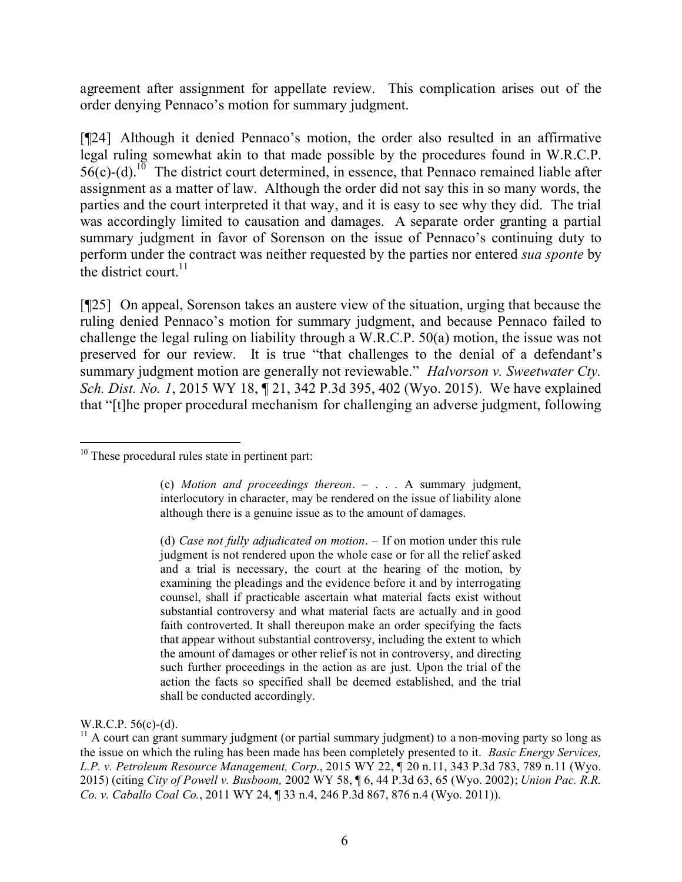agreement after assignment for appellate review. This complication arises out of the order denying Pennaco's motion for summary judgment.

[¶24] Although it denied Pennaco's motion, the order also resulted in an affirmative legal ruling somewhat akin to that made possible by the procedures found in W.R.C.P.  $56(c)$ -(d).<sup>10</sup> The district court determined, in essence, that Pennaco remained liable after assignment as a matter of law. Although the order did not say this in so many words, the parties and the court interpreted it that way, and it is easy to see why they did. The trial was accordingly limited to causation and damages. A separate order granting a partial summary judgment in favor of Sorenson on the issue of Pennaco's continuing duty to perform under the contract was neither requested by the parties nor entered *sua sponte* by the district court.<sup>11</sup>

[¶25] On appeal, Sorenson takes an austere view of the situation, urging that because the ruling denied Pennaco's motion for summary judgment, and because Pennaco failed to challenge the legal ruling on liability through a W.R.C.P. 50(a) motion, the issue was not preserved for our review. It is true "that challenges to the denial of a defendant's summary judgment motion are generally not reviewable." *Halvorson v. Sweetwater Cty. Sch. Dist. No. 1*, 2015 WY 18, ¶ 21, 342 P.3d 395, 402 (Wyo. 2015). We have explained that "[t]he proper procedural mechanism for challenging an adverse judgment, following

(c) *Motion and proceedings thereon*. – . . . A summary judgment, interlocutory in character, may be rendered on the issue of liability alone although there is a genuine issue as to the amount of damages.

W.R.C.P. 56(c)-(d).

 $\overline{a}$  $10$  These procedural rules state in pertinent part:

<sup>(</sup>d) *Case not fully adjudicated on motion*. – If on motion under this rule judgment is not rendered upon the whole case or for all the relief asked and a trial is necessary, the court at the hearing of the motion, by examining the pleadings and the evidence before it and by interrogating counsel, shall if practicable ascertain what material facts exist without substantial controversy and what material facts are actually and in good faith controverted. It shall thereupon make an order specifying the facts that appear without substantial controversy, including the extent to which the amount of damages or other relief is not in controversy, and directing such further proceedings in the action as are just. Upon the trial of the action the facts so specified shall be deemed established, and the trial shall be conducted accordingly.

 $11$  A court can grant summary judgment (or partial summary judgment) to a non-moving party so long as the issue on which the ruling has been made has been completely presented to it. *Basic Energy Services, L.P. v. Petroleum Resource Management, Corp*., 2015 WY 22, ¶ 20 n.11, 343 P.3d 783, 789 n.11 (Wyo. 2015) (citing *City of Powell v. Busboom,* 2002 WY 58, ¶ 6, 44 P.3d 63, 65 (Wyo. 2002); *Union Pac. R.R. Co. v. Caballo Coal Co.*, 2011 WY 24, ¶ 33 n.4, 246 P.3d 867, 876 n.4 (Wyo. 2011)).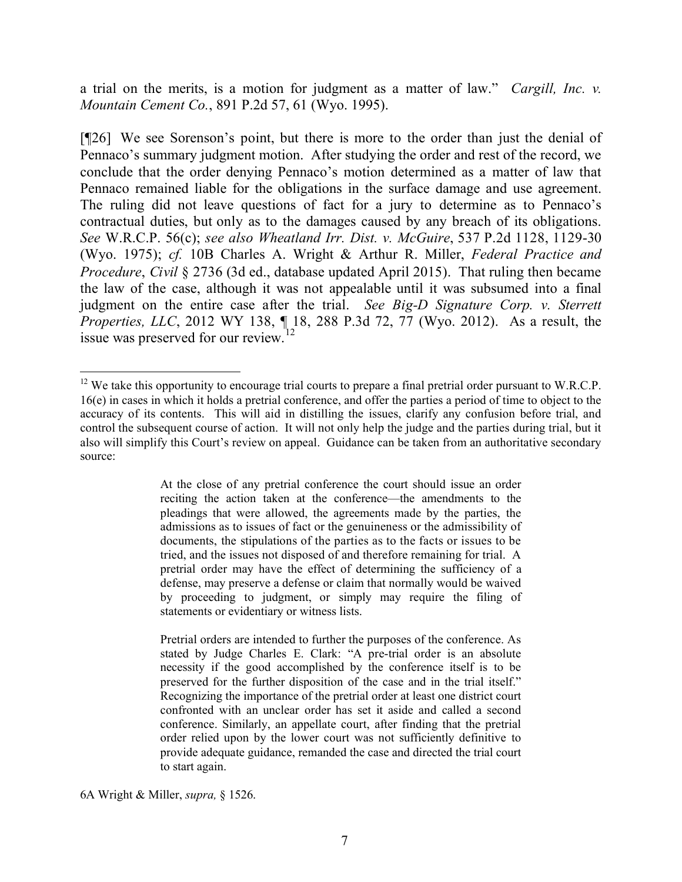a trial on the merits, is a motion for judgment as a matter of law." *Cargill, Inc. v. Mountain Cement Co.*, 891 P.2d 57, 61 (Wyo. 1995).

[¶26] We see Sorenson's point, but there is more to the order than just the denial of Pennaco's summary judgment motion. After studying the order and rest of the record, we conclude that the order denying Pennaco's motion determined as a matter of law that Pennaco remained liable for the obligations in the surface damage and use agreement. The ruling did not leave questions of fact for a jury to determine as to Pennaco's contractual duties, but only as to the damages caused by any breach of its obligations. *See* W.R.C.P. 56(c); *see also Wheatland Irr. Dist. v. McGuire*, 537 P.2d 1128, 1129-30 (Wyo. 1975); *cf.* 10B Charles A. Wright & Arthur R. Miller, *Federal Practice and Procedure*, *Civil* § 2736 (3d ed., database updated April 2015). That ruling then became the law of the case, although it was not appealable until it was subsumed into a final judgment on the entire case after the trial. *See Big-D Signature Corp. v. Sterrett Properties, LLC*, 2012 WY 138, ¶ 18, 288 P.3d 72, 77 (Wyo. 2012). As a result, the issue was preserved for our review.

At the close of any pretrial conference the court should issue an order reciting the action taken at the conference—the amendments to the pleadings that were allowed, the agreements made by the parties, the admissions as to issues of fact or the genuineness or the admissibility of documents, the stipulations of the parties as to the facts or issues to be tried, and the issues not disposed of and therefore remaining for trial. A pretrial order may have the effect of determining the sufficiency of a defense, may preserve a defense or claim that normally would be waived by proceeding to judgment, or simply may require the filing of statements or evidentiary or witness lists.

Pretrial orders are intended to further the purposes of the conference. As stated by Judge Charles E. Clark: "A pre-trial order is an absolute necessity if the good accomplished by the conference itself is to be preserved for the further disposition of the case and in the trial itself." Recognizing the importance of the pretrial order at least one district court confronted with an unclear order has set it aside and called a second conference. Similarly, an appellate court, after finding that the pretrial order relied upon by the lower court was not sufficiently definitive to provide adequate guidance, remanded the case and directed the trial court to start again.

 $\overline{a}$ <sup>12</sup> We take this opportunity to encourage trial courts to prepare a final pretrial order pursuant to W.R.C.P. 16(e) in cases in which it holds a pretrial conference, and offer the parties a period of time to object to the accuracy of its contents. This will aid in distilling the issues, clarify any confusion before trial, and control the subsequent course of action. It will not only help the judge and the parties during trial, but it also will simplify this Court's review on appeal. Guidance can be taken from an authoritative secondary source:

<sup>6</sup>A Wright & Miller, *supra,* § 1526.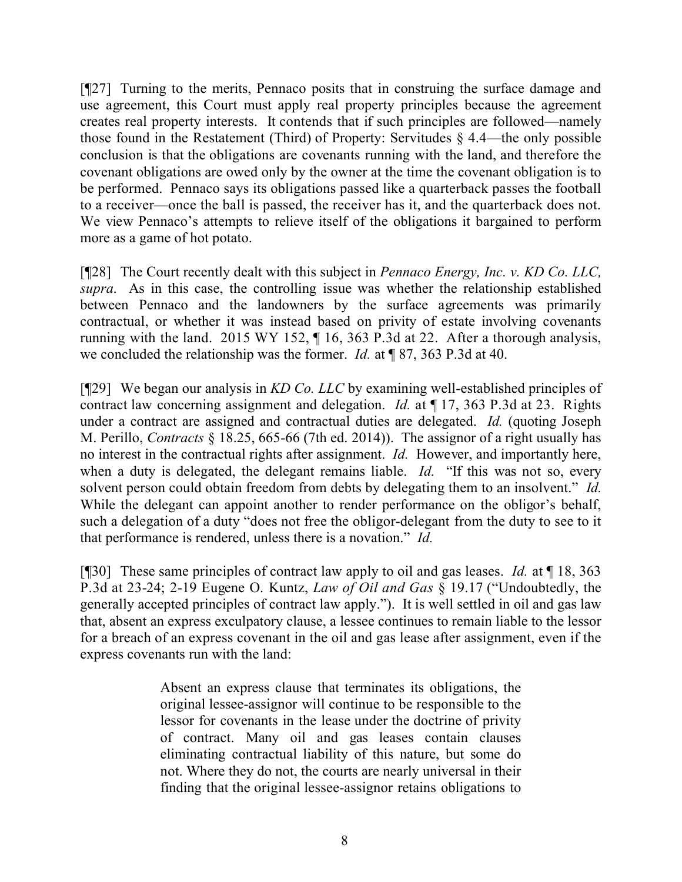[¶27] Turning to the merits, Pennaco posits that in construing the surface damage and use agreement, this Court must apply real property principles because the agreement creates real property interests. It contends that if such principles are followed—namely those found in the Restatement (Third) of Property: Servitudes § 4.4—the only possible conclusion is that the obligations are covenants running with the land, and therefore the covenant obligations are owed only by the owner at the time the covenant obligation is to be performed. Pennaco says its obligations passed like a quarterback passes the football to a receiver—once the ball is passed, the receiver has it, and the quarterback does not. We view Pennaco's attempts to relieve itself of the obligations it bargained to perform more as a game of hot potato.

[¶28] The Court recently dealt with this subject in *Pennaco Energy, Inc. v. KD Co. LLC, supra*. As in this case, the controlling issue was whether the relationship established between Pennaco and the landowners by the surface agreements was primarily contractual, or whether it was instead based on privity of estate involving covenants running with the land. 2015 WY 152, ¶ 16, 363 P.3d at 22. After a thorough analysis, we concluded the relationship was the former. *Id.* at ¶ 87, 363 P.3d at 40.

[¶29] We began our analysis in *KD Co. LLC* by examining well-established principles of contract law concerning assignment and delegation. *Id.* at ¶ 17, 363 P.3d at 23. Rights under a contract are assigned and contractual duties are delegated. *Id.* (quoting Joseph M. Perillo, *Contracts* § 18.25, 665-66 (7th ed. 2014)). The assignor of a right usually has no interest in the contractual rights after assignment. *Id.* However, and importantly here, when a duty is delegated, the delegant remains liable. *Id.* "If this was not so, every solvent person could obtain freedom from debts by delegating them to an insolvent." *Id.* While the delegant can appoint another to render performance on the obligor's behalf, such a delegation of a duty "does not free the obligor-delegant from the duty to see to it that performance is rendered, unless there is a novation." *Id.*

[¶30] These same principles of contract law apply to oil and gas leases. *Id.* at ¶ 18, 363 P.3d at 23-24; 2-19 Eugene O. Kuntz, *Law of Oil and Gas* § 19.17 ("Undoubtedly, the generally accepted principles of contract law apply."). It is well settled in oil and gas law that, absent an express exculpatory clause, a lessee continues to remain liable to the lessor for a breach of an express covenant in the oil and gas lease after assignment, even if the express covenants run with the land:

> Absent an express clause that terminates its obligations, the original lessee-assignor will continue to be responsible to the lessor for covenants in the lease under the doctrine of privity of contract. Many oil and gas leases contain clauses eliminating contractual liability of this nature, but some do not. Where they do not, the courts are nearly universal in their finding that the original lessee-assignor retains obligations to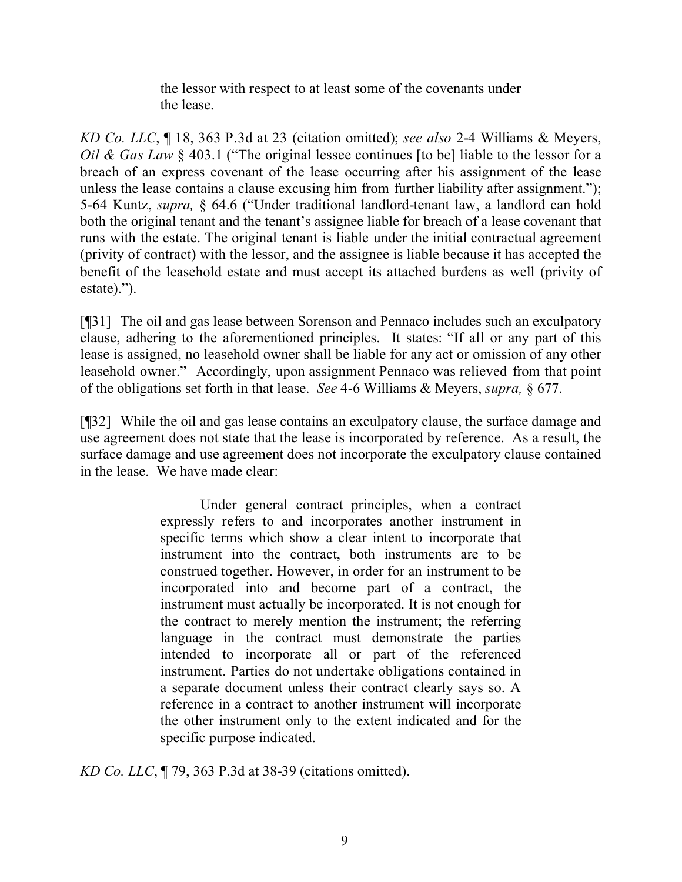the lessor with respect to at least some of the covenants under the lease.

*KD Co. LLC*, ¶ 18, 363 P.3d at 23 (citation omitted); *see also* 2-4 Williams & Meyers, *Oil & Gas Law* § 403.1 ("The original lessee continues [to be] liable to the lessor for a breach of an express covenant of the lease occurring after his assignment of the lease unless the lease contains a clause excusing him from further liability after assignment."); 5-64 Kuntz, *supra,* § 64.6 ("Under traditional landlord-tenant law, a landlord can hold both the original tenant and the tenant's assignee liable for breach of a lease covenant that runs with the estate. The original tenant is liable under the initial contractual agreement (privity of contract) with the lessor, and the assignee is liable because it has accepted the benefit of the leasehold estate and must accept its attached burdens as well (privity of estate).").

[¶31] The oil and gas lease between Sorenson and Pennaco includes such an exculpatory clause, adhering to the aforementioned principles. It states: "If all or any part of this lease is assigned, no leasehold owner shall be liable for any act or omission of any other leasehold owner." Accordingly, upon assignment Pennaco was relieved from that point of the obligations set forth in that lease. *See* 4-6 Williams & Meyers, *supra,* § 677.

[¶32] While the oil and gas lease contains an exculpatory clause, the surface damage and use agreement does not state that the lease is incorporated by reference. As a result, the surface damage and use agreement does not incorporate the exculpatory clause contained in the lease. We have made clear:

> Under general contract principles, when a contract expressly refers to and incorporates another instrument in specific terms which show a clear intent to incorporate that instrument into the contract, both instruments are to be construed together. However, in order for an instrument to be incorporated into and become part of a contract, the instrument must actually be incorporated. It is not enough for the contract to merely mention the instrument; the referring language in the contract must demonstrate the parties intended to incorporate all or part of the referenced instrument. Parties do not undertake obligations contained in a separate document unless their contract clearly says so. A reference in a contract to another instrument will incorporate the other instrument only to the extent indicated and for the specific purpose indicated.

*KD Co. LLC*, ¶ 79, 363 P.3d at 38-39 (citations omitted).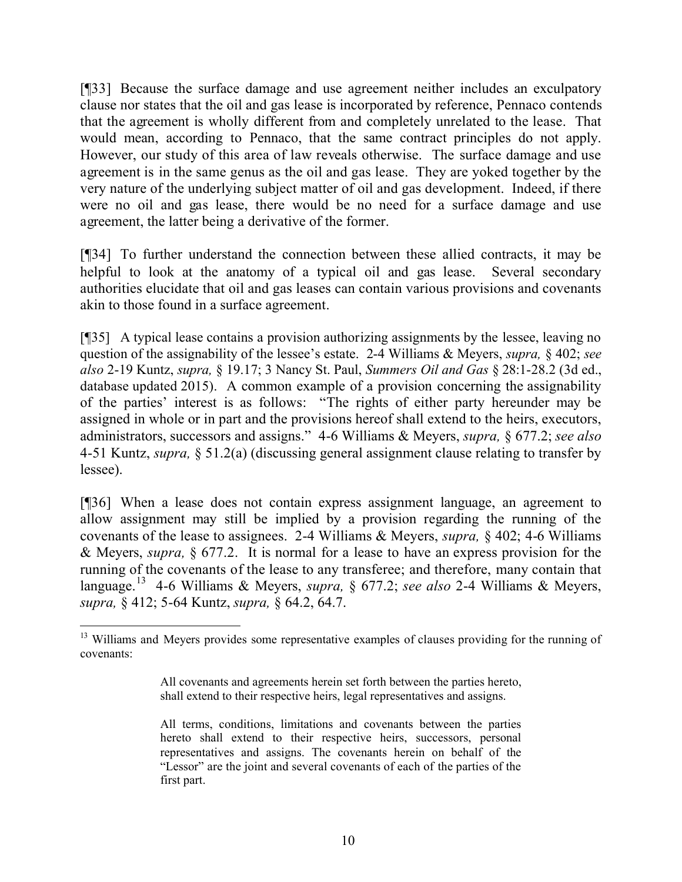[¶33] Because the surface damage and use agreement neither includes an exculpatory clause nor states that the oil and gas lease is incorporated by reference, Pennaco contends that the agreement is wholly different from and completely unrelated to the lease. That would mean, according to Pennaco, that the same contract principles do not apply. However, our study of this area of law reveals otherwise. The surface damage and use agreement is in the same genus as the oil and gas lease. They are yoked together by the very nature of the underlying subject matter of oil and gas development. Indeed, if there were no oil and gas lease, there would be no need for a surface damage and use agreement, the latter being a derivative of the former.

[¶34] To further understand the connection between these allied contracts, it may be helpful to look at the anatomy of a typical oil and gas lease. Several secondary authorities elucidate that oil and gas leases can contain various provisions and covenants akin to those found in a surface agreement.

[¶35] A typical lease contains a provision authorizing assignments by the lessee, leaving no question of the assignability of the lessee's estate. 2-4 Williams & Meyers, *supra,* § 402; *see also* 2-19 Kuntz, *supra,* § 19.17; 3 Nancy St. Paul, *Summers Oil and Gas* § 28:1-28.2 (3d ed., database updated 2015). A common example of a provision concerning the assignability of the parties' interest is as follows: "The rights of either party hereunder may be assigned in whole or in part and the provisions hereof shall extend to the heirs, executors, administrators, successors and assigns." 4-6 Williams & Meyers, *supra,* § 677.2; *see also* 4-51 Kuntz, *supra,* § 51.2(a) (discussing general assignment clause relating to transfer by lessee).

[¶36] When a lease does not contain express assignment language, an agreement to allow assignment may still be implied by a provision regarding the running of the covenants of the lease to assignees. 2-4 Williams & Meyers, *supra,* § 402; 4-6 Williams & Meyers, *supra,* § 677.2. It is normal for a lease to have an express provision for the running of the covenants of the lease to any transferee; and therefore, many contain that language. 13 4-6 Williams & Meyers, *supra,* § 677.2; *see also* 2-4 Williams & Meyers, *supra,* § 412; 5-64 Kuntz, *supra,* § 64.2, 64.7.

 $\overline{a}$ 

<sup>&</sup>lt;sup>13</sup> Williams and Meyers provides some representative examples of clauses providing for the running of covenants:

All covenants and agreements herein set forth between the parties hereto, shall extend to their respective heirs, legal representatives and assigns.

All terms, conditions, limitations and covenants between the parties hereto shall extend to their respective heirs, successors, personal representatives and assigns. The covenants herein on behalf of the "Lessor" are the joint and several covenants of each of the parties of the first part.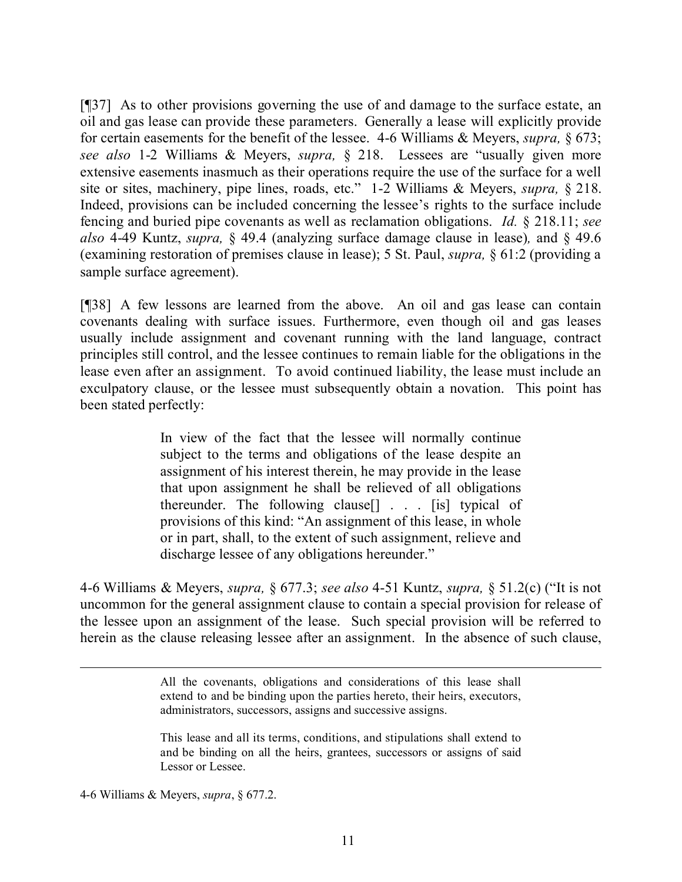[¶37] As to other provisions governing the use of and damage to the surface estate, an oil and gas lease can provide these parameters. Generally a lease will explicitly provide for certain easements for the benefit of the lessee. 4-6 Williams & Meyers, *supra,* § 673; *see also* 1-2 Williams & Meyers, *supra,* § 218. Lessees are "usually given more extensive easements inasmuch as their operations require the use of the surface for a well site or sites, machinery, pipe lines, roads, etc." 1-2 Williams & Meyers, *supra,* § 218. Indeed, provisions can be included concerning the lessee's rights to the surface include fencing and buried pipe covenants as well as reclamation obligations. *Id.* § 218.11; *see also* 4-49 Kuntz, *supra,* § 49.4 (analyzing surface damage clause in lease)*,* and § 49.6 (examining restoration of premises clause in lease); 5 St. Paul, *supra,* § 61:2 (providing a sample surface agreement).

[¶38] A few lessons are learned from the above. An oil and gas lease can contain covenants dealing with surface issues. Furthermore, even though oil and gas leases usually include assignment and covenant running with the land language, contract principles still control, and the lessee continues to remain liable for the obligations in the lease even after an assignment. To avoid continued liability, the lease must include an exculpatory clause, or the lessee must subsequently obtain a novation. This point has been stated perfectly:

> In view of the fact that the lessee will normally continue subject to the terms and obligations of the lease despite an assignment of his interest therein, he may provide in the lease that upon assignment he shall be relieved of all obligations thereunder. The following clause[] . . . [is] typical of provisions of this kind: "An assignment of this lease, in whole or in part, shall, to the extent of such assignment, relieve and discharge lessee of any obligations hereunder."

4-6 Williams & Meyers, *supra,* § 677.3; *see also* 4-51 Kuntz, *supra,* § 51.2(c) ("It is not uncommon for the general assignment clause to contain a special provision for release of the lessee upon an assignment of the lease. Such special provision will be referred to herein as the clause releasing lessee after an assignment. In the absence of such clause,

> All the covenants, obligations and considerations of this lease shall extend to and be binding upon the parties hereto, their heirs, executors, administrators, successors, assigns and successive assigns.

> This lease and all its terms, conditions, and stipulations shall extend to and be binding on all the heirs, grantees, successors or assigns of said Lessor or Lessee.

4-6 Williams & Meyers, *supra*, § 677.2.

 $\overline{a}$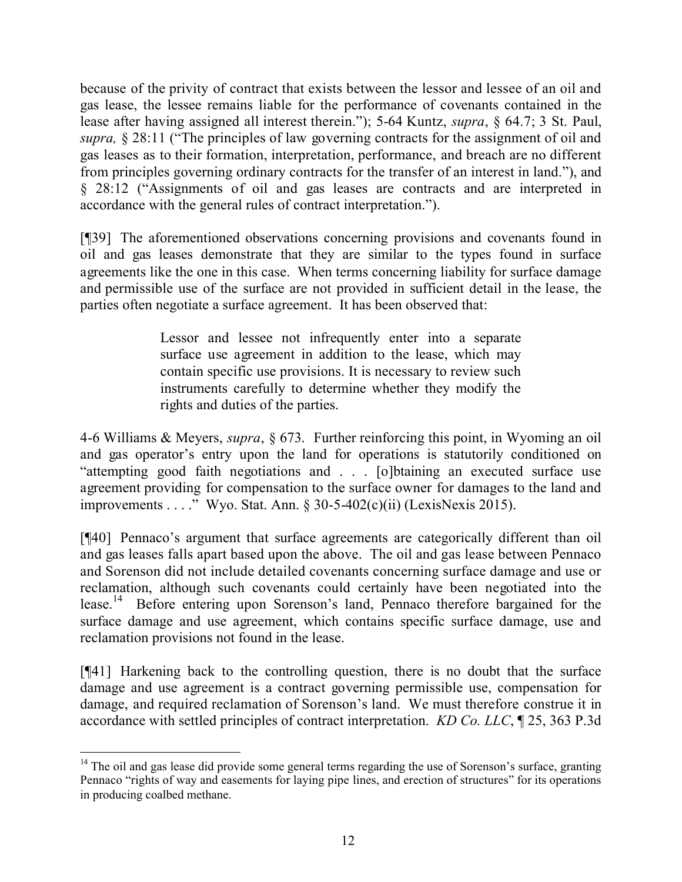because of the privity of contract that exists between the lessor and lessee of an oil and gas lease, the lessee remains liable for the performance of covenants contained in the lease after having assigned all interest therein."); 5-64 Kuntz, *supra*, § 64.7; 3 St. Paul, *supra,* § 28:11 ("The principles of law governing contracts for the assignment of oil and gas leases as to their formation, interpretation, performance, and breach are no different from principles governing ordinary contracts for the transfer of an interest in land."), and § 28:12 ("Assignments of oil and gas leases are contracts and are interpreted in accordance with the general rules of contract interpretation.").

[¶39] The aforementioned observations concerning provisions and covenants found in oil and gas leases demonstrate that they are similar to the types found in surface agreements like the one in this case. When terms concerning liability for surface damage and permissible use of the surface are not provided in sufficient detail in the lease, the parties often negotiate a surface agreement. It has been observed that:

> Lessor and lessee not infrequently enter into a separate surface use agreement in addition to the lease, which may contain specific use provisions. It is necessary to review such instruments carefully to determine whether they modify the rights and duties of the parties.

4-6 Williams & Meyers, *supra*, § 673. Further reinforcing this point, in Wyoming an oil and gas operator's entry upon the land for operations is statutorily conditioned on "attempting good faith negotiations and . . . [o]btaining an executed surface use agreement providing for compensation to the surface owner for damages to the land and improvements . . . ." Wyo. Stat. Ann. § 30-5-402(c)(ii) (LexisNexis 2015).

[¶40] Pennaco's argument that surface agreements are categorically different than oil and gas leases falls apart based upon the above. The oil and gas lease between Pennaco and Sorenson did not include detailed covenants concerning surface damage and use or reclamation, although such covenants could certainly have been negotiated into the lease.<sup>14</sup> Before entering upon Sorenson's land, Pennaco therefore bargained for the surface damage and use agreement, which contains specific surface damage, use and reclamation provisions not found in the lease.

[¶41] Harkening back to the controlling question, there is no doubt that the surface damage and use agreement is a contract governing permissible use, compensation for damage, and required reclamation of Sorenson's land. We must therefore construe it in accordance with settled principles of contract interpretation. *KD Co. LLC*, ¶ 25, 363 P.3d

  $14$  The oil and gas lease did provide some general terms regarding the use of Sorenson's surface, granting Pennaco "rights of way and easements for laying pipe lines, and erection of structures" for its operations in producing coalbed methane.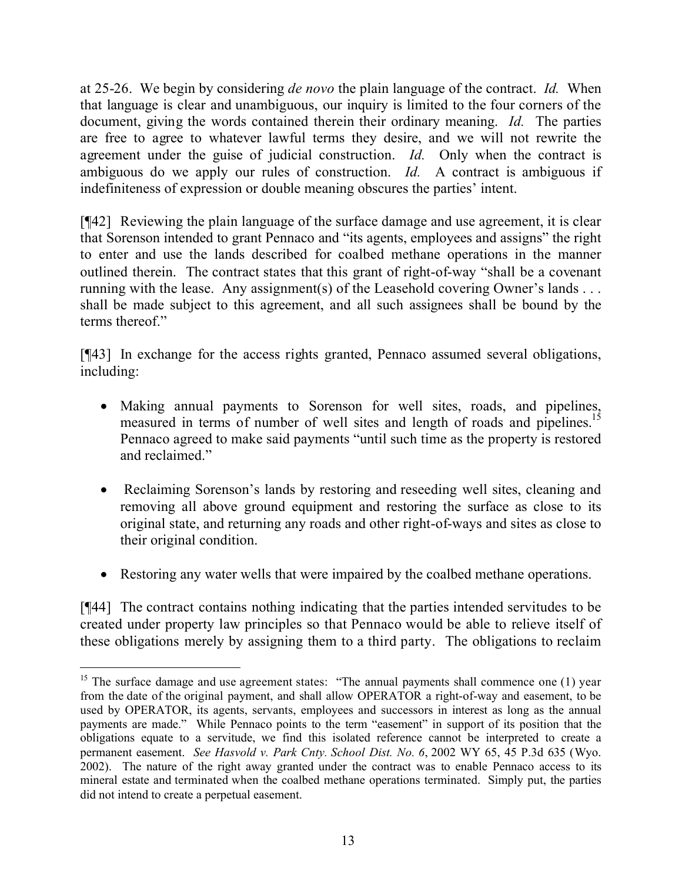at 25-26. We begin by considering *de novo* the plain language of the contract. *Id.* When that language is clear and unambiguous, our inquiry is limited to the four corners of the document, giving the words contained therein their ordinary meaning. *Id.* The parties are free to agree to whatever lawful terms they desire, and we will not rewrite the agreement under the guise of judicial construction. *Id.* Only when the contract is ambiguous do we apply our rules of construction. *Id.* A contract is ambiguous if indefiniteness of expression or double meaning obscures the parties' intent.

[¶42] Reviewing the plain language of the surface damage and use agreement, it is clear that Sorenson intended to grant Pennaco and "its agents, employees and assigns" the right to enter and use the lands described for coalbed methane operations in the manner outlined therein. The contract states that this grant of right-of-way "shall be a covenant running with the lease. Any assignment(s) of the Leasehold covering Owner's lands . . . shall be made subject to this agreement, and all such assignees shall be bound by the terms thereof"

[¶43] In exchange for the access rights granted, Pennaco assumed several obligations, including:

- Making annual payments to Sorenson for well sites, roads, and pipelines, measured in terms of number of well sites and length of roads and pipelines.<sup>15</sup> Pennaco agreed to make said payments "until such time as the property is restored and reclaimed."
- Reclaiming Sorenson's lands by restoring and reseeding well sites, cleaning and removing all above ground equipment and restoring the surface as close to its original state, and returning any roads and other right-of-ways and sites as close to their original condition.
- Restoring any water wells that were impaired by the coalbed methane operations.

[¶44] The contract contains nothing indicating that the parties intended servitudes to be created under property law principles so that Pennaco would be able to relieve itself of these obligations merely by assigning them to a third party. The obligations to reclaim

 $\overline{a}$ <sup>15</sup> The surface damage and use agreement states: "The annual payments shall commence one (1) year from the date of the original payment, and shall allow OPERATOR a right-of-way and easement, to be used by OPERATOR, its agents, servants, employees and successors in interest as long as the annual payments are made." While Pennaco points to the term "easement" in support of its position that the obligations equate to a servitude, we find this isolated reference cannot be interpreted to create a permanent easement. *See Hasvold v. Park Cnty. School Dist. No. 6*, 2002 WY 65, 45 P.3d 635 (Wyo. 2002). The nature of the right away granted under the contract was to enable Pennaco access to its mineral estate and terminated when the coalbed methane operations terminated. Simply put, the parties did not intend to create a perpetual easement.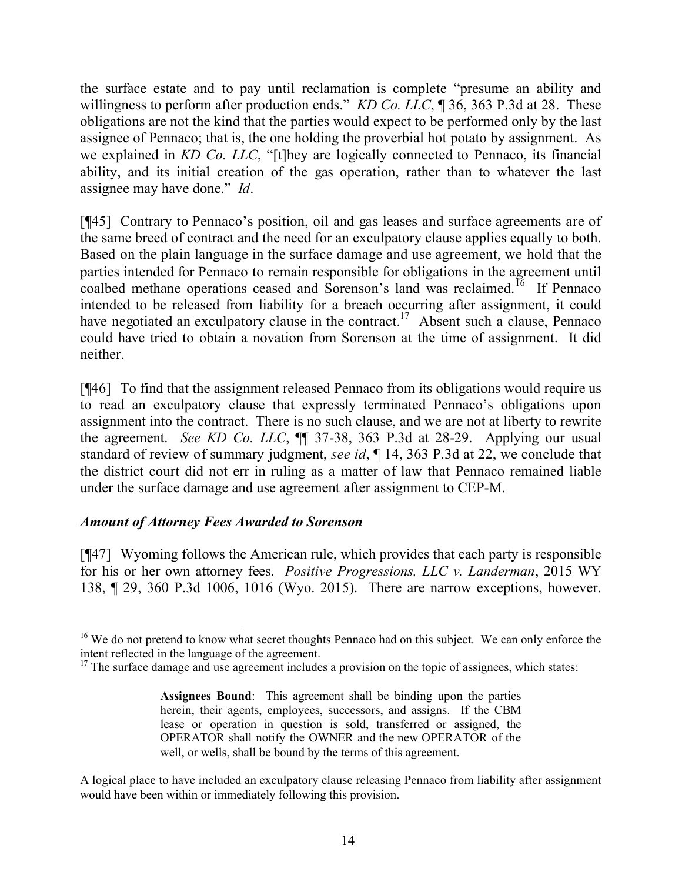the surface estate and to pay until reclamation is complete "presume an ability and willingness to perform after production ends." *KD Co. LLC*, ¶ 36, 363 P.3d at 28. These obligations are not the kind that the parties would expect to be performed only by the last assignee of Pennaco; that is, the one holding the proverbial hot potato by assignment. As we explained in *KD Co. LLC*, "[t]hey are logically connected to Pennaco, its financial ability, and its initial creation of the gas operation, rather than to whatever the last assignee may have done." *Id*.

[¶45] Contrary to Pennaco's position, oil and gas leases and surface agreements are of the same breed of contract and the need for an exculpatory clause applies equally to both. Based on the plain language in the surface damage and use agreement, we hold that the parties intended for Pennaco to remain responsible for obligations in the agreement until coalbed methane operations ceased and Sorenson's land was reclaimed.<sup>16</sup> If Pennaco intended to be released from liability for a breach occurring after assignment, it could have negotiated an exculpatory clause in the contract.<sup>17</sup> Absent such a clause, Pennaco could have tried to obtain a novation from Sorenson at the time of assignment. It did neither.

[¶46] To find that the assignment released Pennaco from its obligations would require us to read an exculpatory clause that expressly terminated Pennaco's obligations upon assignment into the contract. There is no such clause, and we are not at liberty to rewrite the agreement. *See KD Co. LLC*, ¶¶ 37-38, 363 P.3d at 28-29. Applying our usual standard of review of summary judgment, *see id*, ¶ 14, 363 P.3d at 22, we conclude that the district court did not err in ruling as a matter of law that Pennaco remained liable under the surface damage and use agreement after assignment to CEP-M.

## *Amount of Attorney Fees Awarded to Sorenson*

 $\overline{a}$ 

[¶47] Wyoming follows the American rule, which provides that each party is responsible for his or her own attorney fees. *Positive Progressions, LLC v. Landerman*, 2015 WY 138, ¶ 29, 360 P.3d 1006, 1016 (Wyo. 2015). There are narrow exceptions, however.

<sup>&</sup>lt;sup>16</sup> We do not pretend to know what secret thoughts Pennaco had on this subject. We can only enforce the intent reflected in the language of the agreement.

 $17$  The surface damage and use agreement includes a provision on the topic of assignees, which states:

**Assignees Bound**: This agreement shall be binding upon the parties herein, their agents, employees, successors, and assigns. If the CBM lease or operation in question is sold, transferred or assigned, the OPERATOR shall notify the OWNER and the new OPERATOR of the well, or wells, shall be bound by the terms of this agreement.

A logical place to have included an exculpatory clause releasing Pennaco from liability after assignment would have been within or immediately following this provision.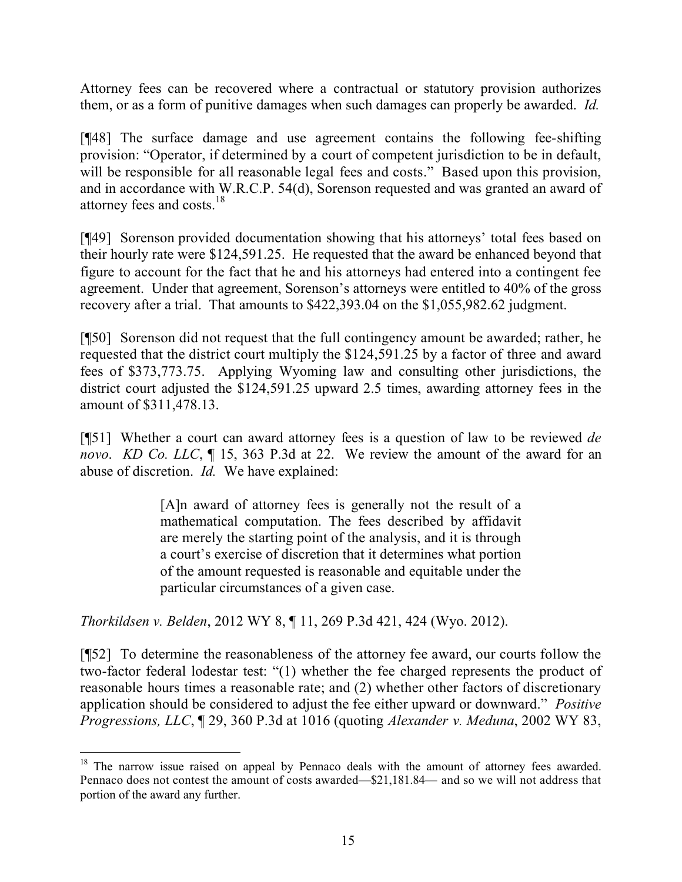Attorney fees can be recovered where a contractual or statutory provision authorizes them, or as a form of punitive damages when such damages can properly be awarded. *Id.*

[¶48] The surface damage and use agreement contains the following fee-shifting provision: "Operator, if determined by a court of competent jurisdiction to be in default, will be responsible for all reasonable legal fees and costs." Based upon this provision, and in accordance with W.R.C.P. 54(d), Sorenson requested and was granted an award of attorney fees and costs.<sup>18</sup>

[¶49] Sorenson provided documentation showing that his attorneys' total fees based on their hourly rate were \$124,591.25. He requested that the award be enhanced beyond that figure to account for the fact that he and his attorneys had entered into a contingent fee agreement. Under that agreement, Sorenson's attorneys were entitled to 40% of the gross recovery after a trial. That amounts to \$422,393.04 on the \$1,055,982.62 judgment.

[¶50] Sorenson did not request that the full contingency amount be awarded; rather, he requested that the district court multiply the \$124,591.25 by a factor of three and award fees of \$373,773.75. Applying Wyoming law and consulting other jurisdictions, the district court adjusted the \$124,591.25 upward 2.5 times, awarding attorney fees in the amount of \$311,478.13.

[¶51] Whether a court can award attorney fees is a question of law to be reviewed *de novo*. *KD Co. LLC*, ¶ 15, 363 P.3d at 22. We review the amount of the award for an abuse of discretion. *Id.* We have explained:

> [A]n award of attorney fees is generally not the result of a mathematical computation. The fees described by affidavit are merely the starting point of the analysis, and it is through a court's exercise of discretion that it determines what portion of the amount requested is reasonable and equitable under the particular circumstances of a given case.

*Thorkildsen v. Belden*, 2012 WY 8, ¶ 11, 269 P.3d 421, 424 (Wyo. 2012).

[¶52] To determine the reasonableness of the attorney fee award, our courts follow the two-factor federal lodestar test: "(1) whether the fee charged represents the product of reasonable hours times a reasonable rate; and (2) whether other factors of discretionary application should be considered to adjust the fee either upward or downward." *Positive Progressions, LLC*, ¶ 29, 360 P.3d at 1016 (quoting *Alexander v. Meduna*, 2002 WY 83,

<sup>&</sup>lt;sup>18</sup> The narrow issue raised on appeal by Pennaco deals with the amount of attorney fees awarded. Pennaco does not contest the amount of costs awarded—\$21,181.84— and so we will not address that portion of the award any further.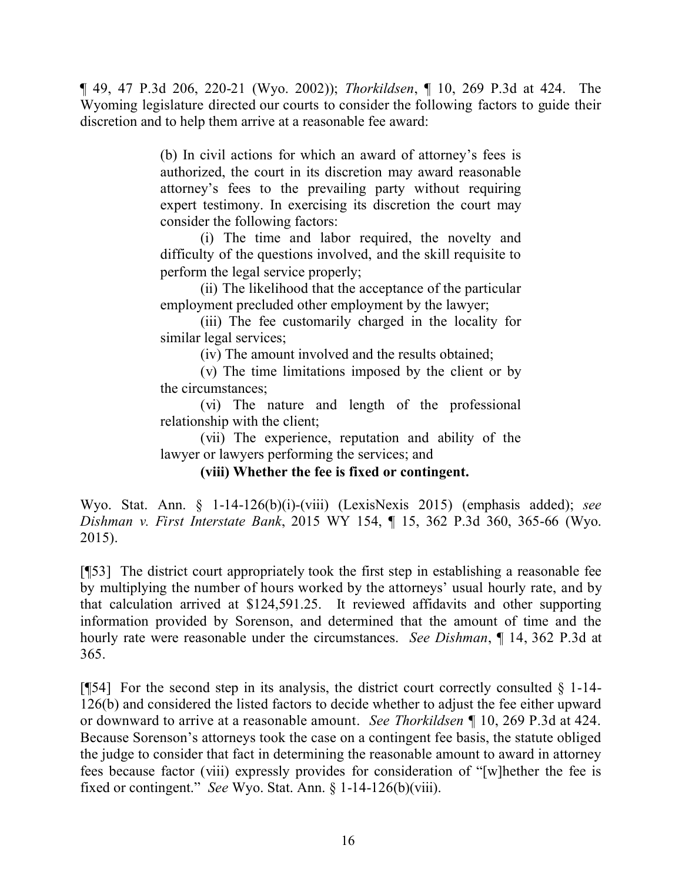¶ 49, 47 P.3d 206, 220-21 (Wyo. 2002)); *Thorkildsen*, ¶ 10, 269 P.3d at 424. The Wyoming legislature directed our courts to consider the following factors to guide their discretion and to help them arrive at a reasonable fee award:

> (b) In civil actions for which an award of attorney's fees is authorized, the court in its discretion may award reasonable attorney's fees to the prevailing party without requiring expert testimony. In exercising its discretion the court may consider the following factors:

> (i) The time and labor required, the novelty and difficulty of the questions involved, and the skill requisite to perform the legal service properly;

> (ii) The likelihood that the acceptance of the particular employment precluded other employment by the lawyer;

> (iii) The fee customarily charged in the locality for similar legal services;

> > (iv) The amount involved and the results obtained;

(v) The time limitations imposed by the client or by the circumstances;

(vi) The nature and length of the professional relationship with the client;

(vii) The experience, reputation and ability of the lawyer or lawyers performing the services; and

## **(viii) Whether the fee is fixed or contingent.**

Wyo. Stat. Ann. § 1-14-126(b)(i)-(viii) (LexisNexis 2015) (emphasis added); *see Dishman v. First Interstate Bank*, 2015 WY 154, ¶ 15, 362 P.3d 360, 365-66 (Wyo. 2015).

[¶53] The district court appropriately took the first step in establishing a reasonable fee by multiplying the number of hours worked by the attorneys' usual hourly rate, and by that calculation arrived at \$124,591.25. It reviewed affidavits and other supporting information provided by Sorenson, and determined that the amount of time and the hourly rate were reasonable under the circumstances. *See Dishman*, ¶ 14, 362 P.3d at 365.

[ $[$ [54] For the second step in its analysis, the district court correctly consulted  $§$  1-14-126(b) and considered the listed factors to decide whether to adjust the fee either upward or downward to arrive at a reasonable amount. *See Thorkildsen* ¶ 10, 269 P.3d at 424. Because Sorenson's attorneys took the case on a contingent fee basis, the statute obliged the judge to consider that fact in determining the reasonable amount to award in attorney fees because factor (viii) expressly provides for consideration of "[w]hether the fee is fixed or contingent." *See* Wyo. Stat. Ann. § 1-14-126(b)(viii).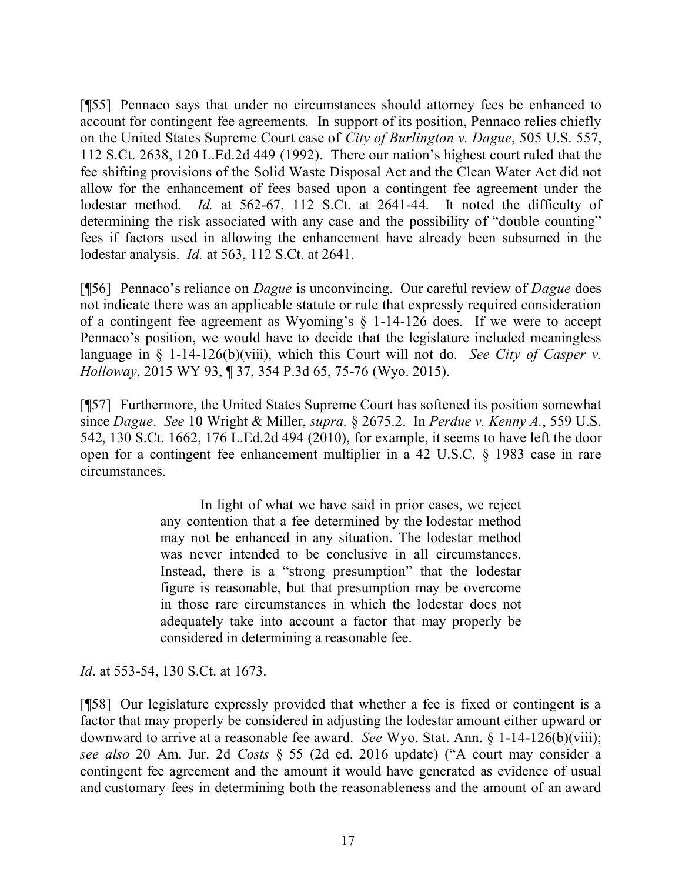[¶55] Pennaco says that under no circumstances should attorney fees be enhanced to account for contingent fee agreements. In support of its position, Pennaco relies chiefly on the United States Supreme Court case of *City of Burlington v. Dague*, 505 U.S. 557, 112 S.Ct. 2638, 120 L.Ed.2d 449 (1992). There our nation's highest court ruled that the fee shifting provisions of the Solid Waste Disposal Act and the Clean Water Act did not allow for the enhancement of fees based upon a contingent fee agreement under the lodestar method. *Id.* at 562-67, 112 S.Ct. at 2641-44. It noted the difficulty of determining the risk associated with any case and the possibility of "double counting" fees if factors used in allowing the enhancement have already been subsumed in the lodestar analysis. *Id.* at 563, 112 S.Ct. at 2641.

[¶56] Pennaco's reliance on *Dague* is unconvincing. Our careful review of *Dague* does not indicate there was an applicable statute or rule that expressly required consideration of a contingent fee agreement as Wyoming's § 1-14-126 does. If we were to accept Pennaco's position, we would have to decide that the legislature included meaningless language in § 1-14-126(b)(viii), which this Court will not do. *See City of Casper v. Holloway*, 2015 WY 93, ¶ 37, 354 P.3d 65, 75-76 (Wyo. 2015).

[¶57] Furthermore, the United States Supreme Court has softened its position somewhat since *Dague*. *See* 10 Wright & Miller, *supra,* § 2675.2. In *Perdue v. Kenny A.*, 559 U.S. 542, 130 S.Ct. 1662, 176 L.Ed.2d 494 (2010), for example, it seems to have left the door open for a contingent fee enhancement multiplier in a 42 U.S.C. § 1983 case in rare circumstances.

> In light of what we have said in prior cases, we reject any contention that a fee determined by the lodestar method may not be enhanced in any situation. The lodestar method was never intended to be conclusive in all circumstances. Instead, there is a "strong presumption" that the lodestar figure is reasonable, but that presumption may be overcome in those rare circumstances in which the lodestar does not adequately take into account a factor that may properly be considered in determining a reasonable fee.

*Id.* at 553-54, 130 S.Ct. at 1673.

[¶58] Our legislature expressly provided that whether a fee is fixed or contingent is a factor that may properly be considered in adjusting the lodestar amount either upward or downward to arrive at a reasonable fee award. *See* Wyo. Stat. Ann. § 1-14-126(b)(viii); *see also* 20 Am. Jur. 2d *Costs* § 55 (2d ed. 2016 update) ("A court may consider a contingent fee agreement and the amount it would have generated as evidence of usual and customary fees in determining both the reasonableness and the amount of an award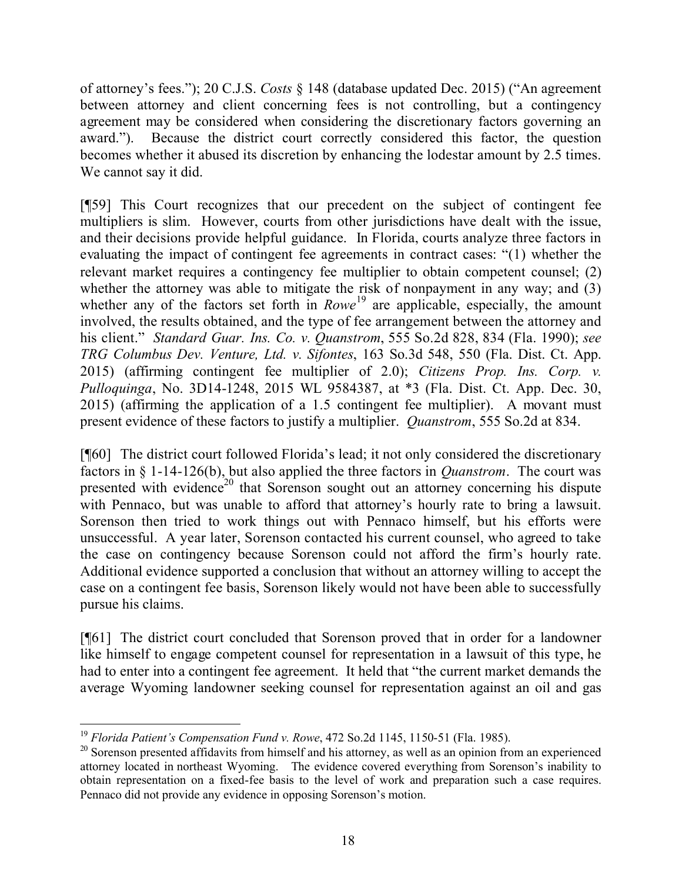of attorney's fees."); 20 C.J.S. *Costs* § 148 (database updated Dec. 2015) ("An agreement between attorney and client concerning fees is not controlling, but a contingency agreement may be considered when considering the discretionary factors governing an award."). Because the district court correctly considered this factor, the question becomes whether it abused its discretion by enhancing the lodestar amount by 2.5 times. We cannot say it did.

[¶59] This Court recognizes that our precedent on the subject of contingent fee multipliers is slim. However, courts from other jurisdictions have dealt with the issue, and their decisions provide helpful guidance. In Florida, courts analyze three factors in evaluating the impact of contingent fee agreements in contract cases: "(1) whether the relevant market requires a contingency fee multiplier to obtain competent counsel; (2) whether the attorney was able to mitigate the risk of nonpayment in any way; and (3) whether any of the factors set forth in *Rowe*<sup>19</sup> are applicable, especially, the amount involved, the results obtained, and the type of fee arrangement between the attorney and his client." *Standard Guar. Ins. Co. v. Quanstrom*, 555 So.2d 828, 834 (Fla. 1990); *see TRG Columbus Dev. Venture, Ltd. v. Sifontes*, 163 So.3d 548, 550 (Fla. Dist. Ct. App. 2015) (affirming contingent fee multiplier of 2.0); *Citizens Prop. Ins. Corp. v. Pulloquinga*, No. 3D14-1248, 2015 WL 9584387, at \*3 (Fla. Dist. Ct. App. Dec. 30, 2015) (affirming the application of a 1.5 contingent fee multiplier). A movant must present evidence of these factors to justify a multiplier. *Quanstrom*, 555 So.2d at 834.

[¶60] The district court followed Florida's lead; it not only considered the discretionary factors in § 1-14-126(b), but also applied the three factors in *Quanstrom*. The court was presented with evidence<sup>20</sup> that Sorenson sought out an attorney concerning his dispute with Pennaco, but was unable to afford that attorney's hourly rate to bring a lawsuit. Sorenson then tried to work things out with Pennaco himself, but his efforts were unsuccessful. A year later, Sorenson contacted his current counsel, who agreed to take the case on contingency because Sorenson could not afford the firm's hourly rate. Additional evidence supported a conclusion that without an attorney willing to accept the case on a contingent fee basis, Sorenson likely would not have been able to successfully pursue his claims.

[¶61] The district court concluded that Sorenson proved that in order for a landowner like himself to engage competent counsel for representation in a lawsuit of this type, he had to enter into a contingent fee agreement. It held that "the current market demands the average Wyoming landowner seeking counsel for representation against an oil and gas

 <sup>19</sup> *Florida Patient's Compensation Fund v. Rowe*, 472 So.2d 1145, 1150-51 (Fla. 1985).

<sup>&</sup>lt;sup>20</sup> Sorenson presented affidavits from himself and his attorney, as well as an opinion from an experienced attorney located in northeast Wyoming. The evidence covered everything from Sorenson's inability to obtain representation on a fixed-fee basis to the level of work and preparation such a case requires. Pennaco did not provide any evidence in opposing Sorenson's motion.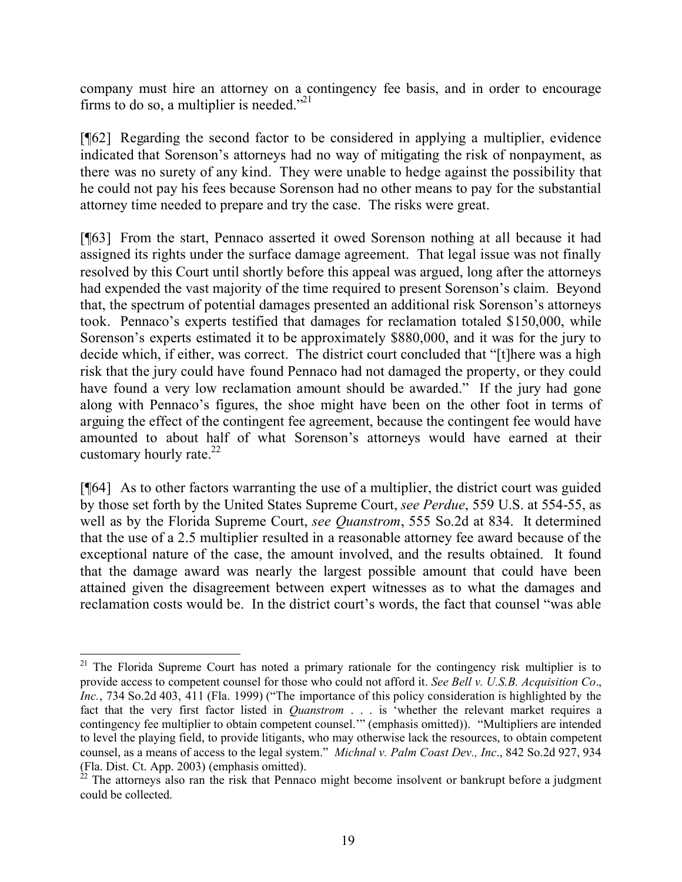company must hire an attorney on a contingency fee basis, and in order to encourage firms to do so, a multiplier is needed."<sup>21</sup>

[¶62] Regarding the second factor to be considered in applying a multiplier, evidence indicated that Sorenson's attorneys had no way of mitigating the risk of nonpayment, as there was no surety of any kind. They were unable to hedge against the possibility that he could not pay his fees because Sorenson had no other means to pay for the substantial attorney time needed to prepare and try the case. The risks were great.

[¶63] From the start, Pennaco asserted it owed Sorenson nothing at all because it had assigned its rights under the surface damage agreement. That legal issue was not finally resolved by this Court until shortly before this appeal was argued, long after the attorneys had expended the vast majority of the time required to present Sorenson's claim. Beyond that, the spectrum of potential damages presented an additional risk Sorenson's attorneys took. Pennaco's experts testified that damages for reclamation totaled \$150,000, while Sorenson's experts estimated it to be approximately \$880,000, and it was for the jury to decide which, if either, was correct. The district court concluded that "[t] here was a high risk that the jury could have found Pennaco had not damaged the property, or they could have found a very low reclamation amount should be awarded." If the jury had gone along with Pennaco's figures, the shoe might have been on the other foot in terms of arguing the effect of the contingent fee agreement, because the contingent fee would have amounted to about half of what Sorenson's attorneys would have earned at their customary hourly rate. $^{22}$ 

[¶64] As to other factors warranting the use of a multiplier, the district court was guided by those set forth by the United States Supreme Court, *see Perdue*, 559 U.S. at 554-55, as well as by the Florida Supreme Court, *see Quanstrom*, 555 So.2d at 834. It determined that the use of a 2.5 multiplier resulted in a reasonable attorney fee award because of the exceptional nature of the case, the amount involved, and the results obtained. It found that the damage award was nearly the largest possible amount that could have been attained given the disagreement between expert witnesses as to what the damages and reclamation costs would be. In the district court's words, the fact that counsel "was able

 <sup>21</sup> The Florida Supreme Court has noted a primary rationale for the contingency risk multiplier is to provide access to competent counsel for those who could not afford it. *See Bell v. U.S.B. Acquisition Co*., *Inc.*, 734 So.2d 403, 411 (Fla. 1999) ("The importance of this policy consideration is highlighted by the fact that the very first factor listed in *Quanstrom* . . . is 'whether the relevant market requires a contingency fee multiplier to obtain competent counsel.'" (emphasis omitted)). "Multipliers are intended to level the playing field, to provide litigants, who may otherwise lack the resources, to obtain competent counsel, as a means of access to the legal system." *Michnal v. Palm Coast Dev., Inc*., 842 So.2d 927, 934 (Fla. Dist. Ct. App. 2003) (emphasis omitted).

 $^{22}$  The attorneys also ran the risk that Pennaco might become insolvent or bankrupt before a judgment could be collected.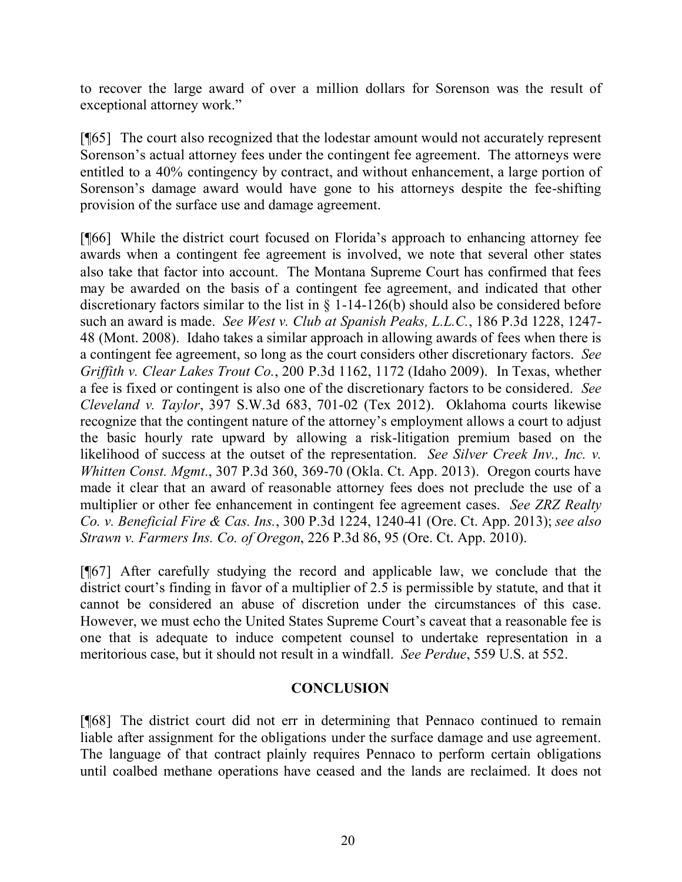to recover the large award of over a million dollars for Sorenson was the result of exceptional attorney work."

[¶65] The court also recognized that the lodestar amount would not accurately represent Sorenson's actual attorney fees under the contingent fee agreement. The attorneys were entitled to a 40% contingency by contract, and without enhancement, a large portion of Sorenson's damage award would have gone to his attorneys despite the fee-shifting provision of the surface use and damage agreement.

[¶66] While the district court focused on Florida's approach to enhancing attorney fee awards when a contingent fee agreement is involved, we note that several other states also take that factor into account. The Montana Supreme Court has confirmed that fees may be awarded on the basis of a contingent fee agreement, and indicated that other discretionary factors similar to the list in § 1-14-126(b) should also be considered before such an award is made. *See West v. Club at Spanish Peaks, L.L.C.*, 186 P.3d 1228, 1247- 48 (Mont. 2008). Idaho takes a similar approach in allowing awards of fees when there is a contingent fee agreement, so long as the court considers other discretionary factors. *See Griffith v. Clear Lakes Trout Co.*, 200 P.3d 1162, 1172 (Idaho 2009). In Texas, whether a fee is fixed or contingent is also one of the discretionary factors to be considered. *See Cleveland v. Taylor*, 397 S.W.3d 683, 701-02 (Tex 2012). Oklahoma courts likewise recognize that the contingent nature of the attorney's employment allows a court to adjust the basic hourly rate upward by allowing a risk-litigation premium based on the likelihood of success at the outset of the representation. *See Silver Creek Inv., Inc. v. Whitten Const. Mgmt.*, 307 P.3d 360, 369-70 (Okla. Ct. App. 2013). Oregon courts have made it clear that an award of reasonable attorney fees does not preclude the use of a multiplier or other fee enhancement in contingent fee agreement cases. *See ZRZ Realty Co. v. Beneficial Fire & Cas. Ins.*, 300 P.3d 1224, 1240-41 (Ore. Ct. App. 2013); *see also Strawn v. Farmers Ins. Co. of Oregon*, 226 P.3d 86, 95 (Ore. Ct. App. 2010).

[¶67] After carefully studying the record and applicable law, we conclude that the district court's finding in favor of a multiplier of 2.5 is permissible by statute, and that it cannot be considered an abuse of discretion under the circumstances of this case. However, we must echo the United States Supreme Court's caveat that a reasonable fee is one that is adequate to induce competent counsel to undertake representation in a meritorious case, but it should not result in a windfall. *See Perdue*, 559 U.S. at 552.

## **CONCLUSION**

[¶68] The district court did not err in determining that Pennaco continued to remain liable after assignment for the obligations under the surface damage and use agreement. The language of that contract plainly requires Pennaco to perform certain obligations until coalbed methane operations have ceased and the lands are reclaimed. It does not